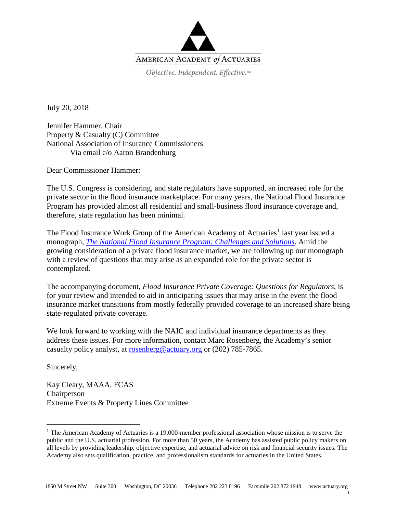

Objective. Independent. Effective.™

July 20, 2018

Jennifer Hammer, Chair Property & Casualty (C) Committee National Association of Insurance Commissioners Via email c/o Aaron Brandenburg

Dear Commissioner Hammer:

The U.S. Congress is considering, and state regulators have supported, an increased role for the private sector in the flood insurance marketplace. For many years, the National Flood Insurance Program has provided almost all residential and small-business flood insurance coverage and, therefore, state regulation has been minimal.

The Flood Insurance Work Group of the American Academy of Actuaries<sup>[1](#page-0-0)</sup> last year issued a monograph, *[The National Flood Insurance Program: Challenges and Solutions](http://www.actuary.org/files/publications/FloodMonograph.04192017.pdf)*. Amid the growing consideration of a private flood insurance market, we are following up our monograph with a review of questions that may arise as an expanded role for the private sector is contemplated.

The accompanying document, *Flood Insurance Private Coverage: Questions for Regulators*, is for your review and intended to aid in anticipating issues that may arise in the event the flood insurance market transitions from mostly federally provided coverage to an increased share being state-regulated private coverage.

We look forward to working with the NAIC and individual insurance departments as they address these issues. For more information, contact Marc Rosenberg, the Academy's senior casualty policy analyst, at [rosenberg@actuary.org](mailto:rosenberg@actuary.org) or (202) 785-7865.

Sincerely,

Kay Cleary, MAAA, FCAS Chairperson Extreme Events & Property Lines Committee

1

<span id="page-0-0"></span><sup>&</sup>lt;sup>1</sup> The American Academy of Actuaries is a 19,000-member professional association whose mission is to serve the public and the U.S. actuarial profession. For more than 50 years, the Academy has assisted public policy makers on all levels by providing leadership, objective expertise, and actuarial advice on risk and financial security issues. The Academy also sets qualification, practice, and professionalism standards for actuaries in the United States.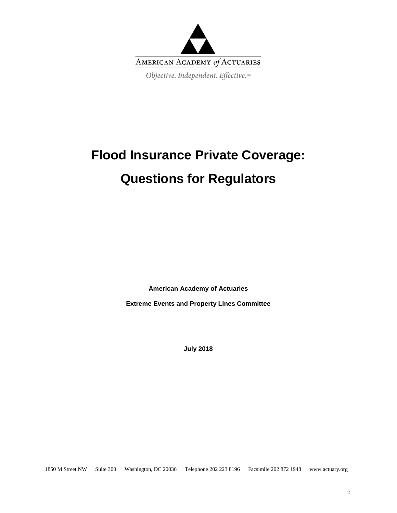

# **Flood Insurance Private Coverage: Questions for Regulators**

**American Academy of Actuaries**

**Extreme Events and Property Lines Committee**

**July 2018**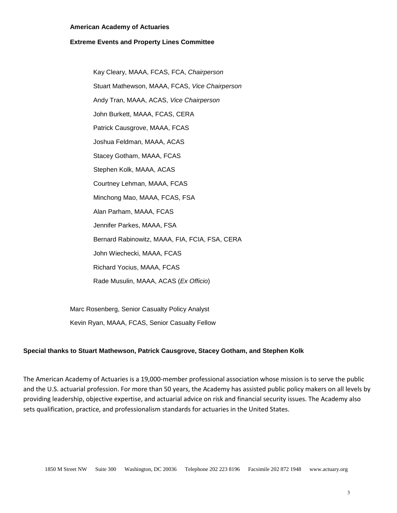#### **American Academy of Actuaries**

#### **Extreme Events and Property Lines Committee**

Kay Cleary, MAAA, FCAS, FCA, *Chairperson* Stuart Mathewson, MAAA, FCAS, *Vice Chairperson* Andy Tran, MAAA, ACAS, *Vice Chairperson* John Burkett, MAAA, FCAS, CERA Patrick Causgrove, MAAA, FCAS Joshua Feldman, MAAA, ACAS Stacey Gotham, MAAA, FCAS Stephen Kolk, MAAA, ACAS Courtney Lehman, MAAA, FCAS Minchong Mao, MAAA, FCAS, FSA Alan Parham, MAAA, FCAS Jennifer Parkes, MAAA, FSA Bernard Rabinowitz, MAAA, FIA, FCIA, FSA, CERA John Wiechecki, MAAA, FCAS Richard Yocius, MAAA, FCAS Rade Musulin, MAAA, ACAS (*Ex Officio*)

Marc Rosenberg, Senior Casualty Policy Analyst Kevin Ryan, MAAA, FCAS, Senior Casualty Fellow

#### **Special thanks to Stuart Mathewson, Patrick Causgrove, Stacey Gotham, and Stephen Kolk**

The American Academy of Actuaries is a 19,000-member professional association whose mission is to serve the public and the U.S. actuarial profession. For more than 50 years, the Academy has assisted public policy makers on all levels by providing leadership, objective expertise, and actuarial advice on risk and financial security issues. The Academy also sets qualification, practice, and professionalism standards for actuaries in the United States.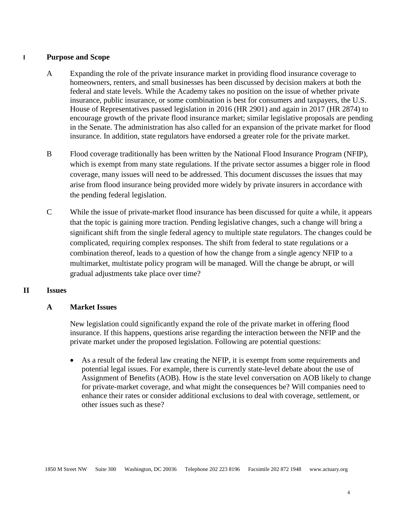#### **I Purpose and Scope**

- A Expanding the role of the private insurance market in providing flood insurance coverage to homeowners, renters, and small businesses has been discussed by decision makers at both the federal and state levels. While the Academy takes no position on the issue of whether private insurance, public insurance, or some combination is best for consumers and taxpayers, the U.S. House of Representatives passed legislation in 2016 (HR 2901) and again in 2017 (HR 2874) to encourage growth of the private flood insurance market; similar legislative proposals are pending in the Senate. The administration has also called for an expansion of the private market for flood insurance. In addition, state regulators have endorsed a greater role for the private market.
- B Flood coverage traditionally has been written by the National Flood Insurance Program (NFIP), which is exempt from many state regulations. If the private sector assumes a bigger role in flood coverage, many issues will need to be addressed. This document discusses the issues that may arise from flood insurance being provided more widely by private insurers in accordance with the pending federal legislation.
- C While the issue of private-market flood insurance has been discussed for quite a while, it appears that the topic is gaining more traction. Pending legislative changes, such a change will bring a significant shift from the single federal agency to multiple state regulators. The changes could be complicated, requiring complex responses. The shift from federal to state regulations or a combination thereof, leads to a question of how the change from a single agency NFIP to a multimarket, multistate policy program will be managed. Will the change be abrupt, or will gradual adjustments take place over time?

#### **II Issues**

#### **A Market Issues**

New legislation could significantly expand the role of the private market in offering flood insurance. If this happens, questions arise regarding the interaction between the NFIP and the private market under the proposed legislation. Following are potential questions:

• As a result of the federal law creating the NFIP, it is exempt from some requirements and potential legal issues. For example, there is currently state-level debate about the use of Assignment of Benefits (AOB). How is the state level conversation on AOB likely to change for private-market coverage, and what might the consequences be? Will companies need to enhance their rates or consider additional exclusions to deal with coverage, settlement, or other issues such as these?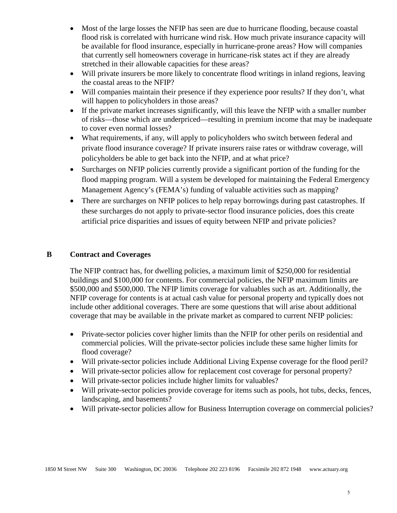- Most of the large losses the NFIP has seen are due to hurricane flooding, because coastal flood risk is correlated with hurricane wind risk. How much private insurance capacity will be available for flood insurance, especially in hurricane-prone areas? How will companies that currently sell homeowners coverage in hurricane-risk states act if they are already stretched in their allowable capacities for these areas?
- Will private insurers be more likely to concentrate flood writings in inland regions, leaving the coastal areas to the NFIP?
- Will companies maintain their presence if they experience poor results? If they don't, what will happen to policyholders in those areas?
- If the private market increases significantly, will this leave the NFIP with a smaller number of risks—those which are underpriced—resulting in premium income that may be inadequate to cover even normal losses?
- What requirements, if any, will apply to policyholders who switch between federal and private flood insurance coverage? If private insurers raise rates or withdraw coverage, will policyholders be able to get back into the NFIP, and at what price?
- Surcharges on NFIP policies currently provide a significant portion of the funding for the flood mapping program. Will a system be developed for maintaining the Federal Emergency Management Agency's (FEMA's) funding of valuable activities such as mapping?
- There are surcharges on NFIP polices to help repay borrowings during past catastrophes. If these surcharges do not apply to private-sector flood insurance policies, does this create artificial price disparities and issues of equity between NFIP and private policies?

## **B Contract and Coverages**

The NFIP contract has, for dwelling policies, a maximum limit of \$250,000 for residential buildings and \$100,000 for contents. For commercial policies, the NFIP maximum limits are \$500,000 and \$500,000. The NFIP limits coverage for valuables such as art. Additionally, the NFIP coverage for contents is at actual cash value for personal property and typically does not include other additional coverages. There are some questions that will arise about additional coverage that may be available in the private market as compared to current NFIP policies:

- Private-sector policies cover higher limits than the NFIP for other perils on residential and commercial policies. Will the private-sector policies include these same higher limits for flood coverage?
- Will private-sector policies include Additional Living Expense coverage for the flood peril?
- Will private-sector policies allow for replacement cost coverage for personal property?
- Will private-sector policies include higher limits for valuables?
- Will private-sector policies provide coverage for items such as pools, hot tubs, decks, fences, landscaping, and basements?
- Will private-sector policies allow for Business Interruption coverage on commercial policies?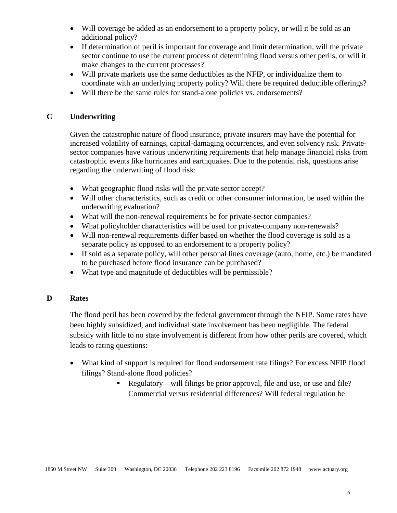- Will coverage be added as an endorsement to a property policy, or will it be sold as an additional policy?
- If determination of peril is important for coverage and limit determination, will the private sector continue to use the current process of determining flood versus other perils, or will it make changes to the current processes?
- Will private markets use the same deductibles as the NFIP, or individualize them to coordinate with an underlying property policy? Will there be required deductible offerings?
- Will there be the same rules for stand-alone policies vs. endorsements?

## **C Underwriting**

Given the catastrophic nature of flood insurance, private insurers may have the potential for increased volatility of earnings, capital-damaging occurrences, and even solvency risk. Privatesector companies have various underwriting requirements that help manage financial risks from catastrophic events like hurricanes and earthquakes. Due to the potential risk, questions arise regarding the underwriting of flood risk:

- What geographic flood risks will the private sector accept?
- Will other characteristics, such as credit or other consumer information, be used within the underwriting evaluation?
- What will the non-renewal requirements be for private-sector companies?
- What policyholder characteristics will be used for private-company non-renewals?
- Will non-renewal requirements differ based on whether the flood coverage is sold as a separate policy as opposed to an endorsement to a property policy?
- If sold as a separate policy, will other personal lines coverage (auto, home, etc.) be mandated to be purchased before flood insurance can be purchased?
- What type and magnitude of deductibles will be permissible?

#### **D Rates**

The flood peril has been covered by the federal government through the NFIP. Some rates have been highly subsidized, and individual state involvement has been negligible. The federal subsidy with little to no state involvement is different from how other perils are covered, which leads to rating questions:

- What kind of support is required for flood endorsement rate filings? For excess NFIP flood filings? Stand-alone flood policies?
	- Regulatory—will filings be prior approval, file and use, or use and file? Commercial versus residential differences? Will federal regulation be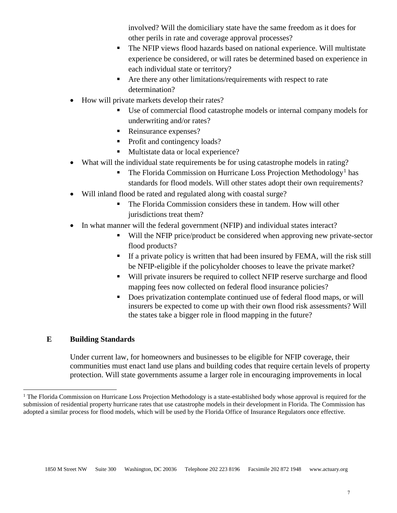involved? Will the domiciliary state have the same freedom as it does for other perils in rate and coverage approval processes?

- The NFIP views flood hazards based on national experience. Will multistate experience be considered, or will rates be determined based on experience in each individual state or territory?
- Are there any other limitations/requirements with respect to rate determination?
- How will private markets develop their rates?
	- Use of commercial flood catastrophe models or internal company models for underwriting and/or rates?
	- Reinsurance expenses?
	- Profit and contingency loads?
	- Multistate data or local experience?
- What will the individual state requirements be for using catastrophe models in rating?
	- $\blacksquare$  The Florida Commission on Hurricane Loss Projection Methodology<sup>[1](#page-6-0)</sup> has standards for flood models. Will other states adopt their own requirements?
- Will inland flood be rated and regulated along with coastal surge?
	- The Florida Commission considers these in tandem. How will other jurisdictions treat them?
- In what manner will the federal government (NFIP) and individual states interact?
	- Will the NFIP price/product be considered when approving new private-sector flood products?
	- If a private policy is written that had been insured by FEMA, will the risk still be NFIP-eligible if the policyholder chooses to leave the private market?
	- Will private insurers be required to collect NFIP reserve surcharge and flood mapping fees now collected on federal flood insurance policies?
	- Does privatization contemplate continued use of federal flood maps, or will insurers be expected to come up with their own flood risk assessments? Will the states take a bigger role in flood mapping in the future?

# **E Building Standards**

Under current law, for homeowners and businesses to be eligible for NFIP coverage, their communities must enact land use plans and building codes that require certain levels of property protection. Will state governments assume a larger role in encouraging improvements in local

<span id="page-6-0"></span><sup>&</sup>lt;sup>1</sup> The Florida Commission on Hurricane Loss Projection Methodology is a state-established body whose approval is required for the submission of residential property hurricane rates that use catastrophe models in their development in Florida. The Commission has adopted a similar process for flood models, which will be used by the Florida Office of Insurance Regulators once effective.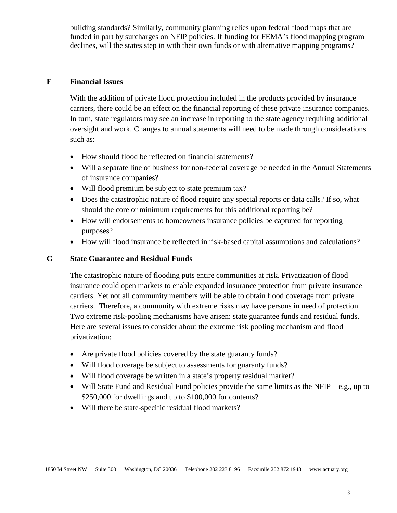building standards? Similarly, community planning relies upon federal flood maps that are funded in part by surcharges on NFIP policies. If funding for FEMA's flood mapping program declines, will the states step in with their own funds or with alternative mapping programs?

#### **F Financial Issues**

With the addition of private flood protection included in the products provided by insurance carriers, there could be an effect on the financial reporting of these private insurance companies. In turn, state regulators may see an increase in reporting to the state agency requiring additional oversight and work. Changes to annual statements will need to be made through considerations such as:

- How should flood be reflected on financial statements?
- Will a separate line of business for non-federal coverage be needed in the Annual Statements of insurance companies?
- Will flood premium be subject to state premium tax?
- Does the catastrophic nature of flood require any special reports or data calls? If so, what should the core or minimum requirements for this additional reporting be?
- How will endorsements to homeowners insurance policies be captured for reporting purposes?
- How will flood insurance be reflected in risk-based capital assumptions and calculations?

#### **G State Guarantee and Residual Funds**

The catastrophic nature of flooding puts entire communities at risk. Privatization of flood insurance could open markets to enable expanded insurance protection from private insurance carriers. Yet not all community members will be able to obtain flood coverage from private carriers. Therefore, a community with extreme risks may have persons in need of protection. Two extreme risk-pooling mechanisms have arisen: state guarantee funds and residual funds. Here are several issues to consider about the extreme risk pooling mechanism and flood privatization:

- Are private flood policies covered by the state guaranty funds?
- Will flood coverage be subject to assessments for guaranty funds?
- Will flood coverage be written in a state's property residual market?
- Will State Fund and Residual Fund policies provide the same limits as the NFIP—e.g., up to \$250,000 for dwellings and up to \$100,000 for contents?
- Will there be state-specific residual flood markets?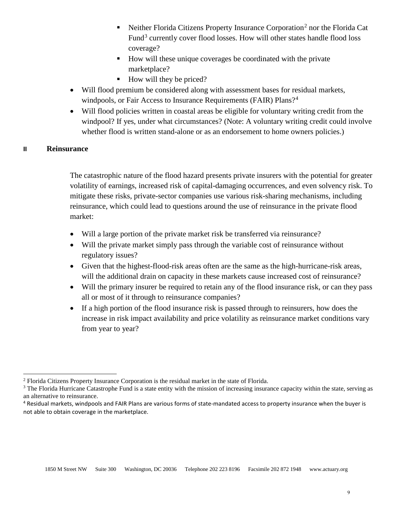- Neither Florida Citizens Property Insurance Corporation<sup>[2](#page-8-0)</sup> nor the Florida Cat Fund<sup>[3](#page-8-1)</sup> currently cover flood losses. How will other states handle flood loss coverage?
- How will these unique coverages be coordinated with the private marketplace?
- $\blacksquare$  How will they be priced?
- Will flood premium be considered along with assessment bases for residual markets, windpools, or Fair Access to Insurance Requirements (FAIR) Plans?<sup>[4](#page-8-2)</sup>
- Will flood policies written in coastal areas be eligible for voluntary writing credit from the windpool? If yes, under what circumstances? (Note: A voluntary writing credit could involve whether flood is written stand-alone or as an endorsement to home owners policies.)

#### **II Reinsurance**

 $\overline{\phantom{a}}$ 

The catastrophic nature of the flood hazard presents private insurers with the potential for greater volatility of earnings, increased risk of capital-damaging occurrences, and even solvency risk. To mitigate these risks, private-sector companies use various risk-sharing mechanisms, including reinsurance, which could lead to questions around the use of reinsurance in the private flood market:

- Will a large portion of the private market risk be transferred via reinsurance?
- Will the private market simply pass through the variable cost of reinsurance without regulatory issues?
- Given that the highest-flood-risk areas often are the same as the high-hurricane-risk areas, will the additional drain on capacity in these markets cause increased cost of reinsurance?
- Will the primary insurer be required to retain any of the flood insurance risk, or can they pass all or most of it through to reinsurance companies?
- If a high portion of the flood insurance risk is passed through to reinsurers, how does the increase in risk impact availability and price volatility as reinsurance market conditions vary from year to year?

<span id="page-8-0"></span><sup>2</sup> Florida Citizens Property Insurance Corporation is the residual market in the state of Florida.

<span id="page-8-1"></span><sup>&</sup>lt;sup>3</sup> The Florida Hurricane Catastrophe Fund is a state entity with the mission of increasing insurance capacity within the state, serving as an alternative to reinsurance.

<span id="page-8-2"></span><sup>4</sup> Residual markets, windpools and FAIR Plans are various forms of state-mandated access to property insurance when the buyer is not able to obtain coverage in the marketplace.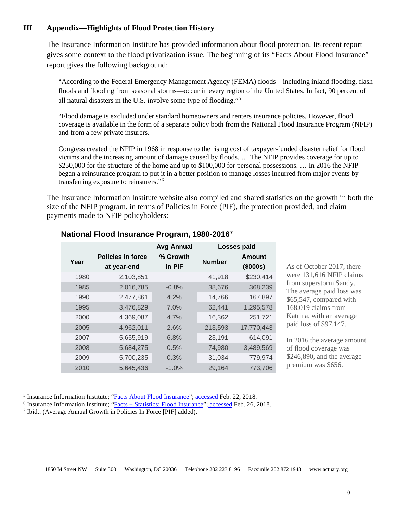## **III Appendix—Highlights of Flood Protection History**

The Insurance Information Institute has provided information about flood protection. Its recent report gives some context to the flood privatization issue. The beginning of its "Facts About Flood Insurance" report gives the following background:

"According to the Federal Emergency Management Agency (FEMA) floods—including inland flooding, flash floods and flooding from seasonal storms—occur in every region of the United States. In fact, 90 percent of all natural disasters in the U.S. involve some type of flooding."[5](#page-9-0)

"Flood damage is excluded under standard homeowners and renters insurance policies. However, flood coverage is available in the form of a separate policy both from the National Flood Insurance Program (NFIP) and from a few private insurers.

Congress created the NFIP in 1968 in response to the rising cost of taxpayer-funded disaster relief for flood victims and the increasing amount of damage caused by floods. … The NFIP provides coverage for up to \$250,000 for the structure of the home and up to \$100,000 for personal possessions. ... In 2016 the NFIP began a reinsurance program to put it in a better position to manage losses incurred from major events by transferring exposure to reinsurers."[6](#page-9-1)

The Insurance Information Institute website also compiled and shared statistics on the growth in both the size of the NFIP program, in terms of Policies in Force (PIF), the protection provided, and claim payments made to NFIP policyholders:

|                                         | <b>Avg Annual</b>  | Losses paid   |                    |
|-----------------------------------------|--------------------|---------------|--------------------|
| <b>Policies in force</b><br>at year-end | % Growth<br>in PIF | <b>Number</b> | Amount<br>(\$000s) |
| 2,103,851                               |                    | 41,918        | \$230,414          |
| 2,016,785                               | $-0.8%$            | 38,676        | 368,239            |
| 2,477,861                               | $4.2\%$            | 14,766        | 167,897            |
| 3,476,829                               | 7.0%               | 62,441        | 1,295,578          |
| 4,369,087                               | $4.7\%$            | 16,362        | 251,721            |
| 4,962,011                               | 2.6%               | 213,593       | 17,770,443         |
| 5,655,919                               | 6.8%               | 23,191        | 614,091            |
| 5,684,275                               | 0.5%               | 74,980        | 3,489,569          |
| 5,700,235                               | 0.3%               | 31,034        | 779,974            |
| 5,645,436                               | $-1.0%$            | 29,164        | 773,706            |
|                                         |                    |               |                    |

#### **National Flood Insurance Program, 1980-2016[7](#page-9-2)**

As of October 2017, there were 131,616 NFIP claims from superstorm Sandy. The average paid loss was \$65,547, compared with 168,019 claims from Katrina, with an average paid loss of \$97,147.

In 2016 the average amount of flood coverage was \$246,890, and the average premium was \$656.

 $\overline{\phantom{a}}$ 

<span id="page-9-1"></span><span id="page-9-0"></span><sup>&</sup>lt;sup>5</sup> Insurance Information Institute; "Facts About Flood Insurance"; accessed Feb. 22, 2018.<br>
<sup>6</sup> Insurance Information Institute; "Facts + Statistics: Flood Insurance"; accessed Feb. 26, 2018.<br>
<sup>7</sup> Ibid.; (Average Annual

<span id="page-9-2"></span>